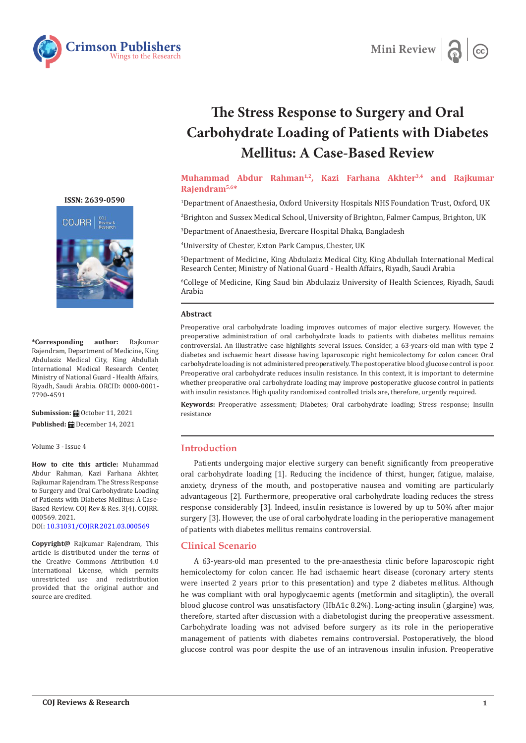



# **The Stress Response to Surgery and Oral Carbohydrate Loading of Patients with Diabetes Mellitus: A Case-Based Review**

## **Muhammad Abdur Rahman1,2, Kazi Farhana Akhter3,4 and Rajkumar Rajendram5,6\***

1 Department of Anaesthesia, Oxford University Hospitals NHS Foundation Trust, Oxford, UK

2 Brighton and Sussex Medical School, University of Brighton, Falmer Campus, Brighton, UK

3 Department of Anaesthesia, Evercare Hospital Dhaka, Bangladesh

4 University of Chester, Exton Park Campus, Chester, UK

5 Department of Medicine, King Abdulaziz Medical City, King Abdullah International Medical Research Center, Ministry of National Guard - Health Affairs, Riyadh, Saudi Arabia

6 College of Medicine, King Saud bin Abdulaziz University of Health Sciences, Riyadh, Saudi Arabia

#### **Abstract**

Preoperative oral carbohydrate loading improves outcomes of major elective surgery. However, the preoperative administration of oral carbohydrate loads to patients with diabetes mellitus remains controversial. An illustrative case highlights several issues. Consider, a 63-years-old man with type 2 diabetes and ischaemic heart disease having laparoscopic right hemicolectomy for colon cancer. Oral carbohydrate loading is not administered preoperatively. The postoperative blood glucose control is poor. Preoperative oral carbohydrate reduces insulin resistance. In this context, it is important to determine whether preoperative oral carbohydrate loading may improve postoperative glucose control in patients with insulin resistance. High quality randomized controlled trials are, therefore, urgently required.

**Keywords:** Preoperative assessment; Diabetes; Oral carbohydrate loading; Stress response; Insulin resistance

#### **Introduction**

Patients undergoing major elective surgery can benefit significantly from preoperative oral carbohydrate loading [1]. Reducing the incidence of thirst, hunger, fatigue, malaise, anxiety, dryness of the mouth, and postoperative nausea and vomiting are particularly advantageous [2]. Furthermore, preoperative oral carbohydrate loading reduces the stress response considerably [3]. Indeed, insulin resistance is lowered by up to 50% after major surgery [3]. However, the use of oral carbohydrate loading in the perioperative management of patients with diabetes mellitus remains controversial.

## **Clinical Scenario**

A 63-years-old man presented to the pre-anaesthesia clinic before laparoscopic right hemicolectomy for colon cancer. He had ischaemic heart disease (coronary artery stents were inserted 2 years prior to this presentation) and type 2 diabetes mellitus. Although he was compliant with oral hypoglycaemic agents (metformin and sitagliptin), the overall blood glucose control was unsatisfactory (HbA1c 8.2%). Long-acting insulin (glargine) was, therefore, started after discussion with a diabetologist during the preoperative assessment. Carbohydrate loading was not advised before surgery as its role in the perioperative management of patients with diabetes remains controversial. Postoperatively, the blood glucose control was poor despite the use of an intravenous insulin infusion. Preoperative

**[ISSN: 2639-0590](https://www.crimsonpublishers.com/cojrr/)**



**\*Corresponding author:** Rajkumar Rajendram, Department of Medicine, King Abdulaziz Medical City, King Abdullah International Medical Research Center, Ministry of National Guard - Health Affairs, Riyadh, Saudi Arabia. ORCID: 0000-0001- 7790-4591

**Submission:** ■ October 11, 2021 **Published:** December 14, 2021

Volume 3 - Issue 4

**How to cite this article:** Muhammad Abdur Rahman, Kazi Farhana Akhter, Rajkumar Rajendram. The Stress Response to Surgery and Oral Carbohydrate Loading of Patients with Diabetes Mellitus: A Case-Based Review. COJ Rev & Res. 3(4). COJRR. 000569. 2021.

DOI: [10.31031/COJRR.2021.03.000569](http://dx.doi.org/10.31031/COJRR.2021.03.000569)

**Copyright@** Rajkumar Rajendram, This article is distributed under the terms of the Creative Commons Attribution 4.0 International License, which permits unrestricted use and redistribution provided that the original author and source are credited.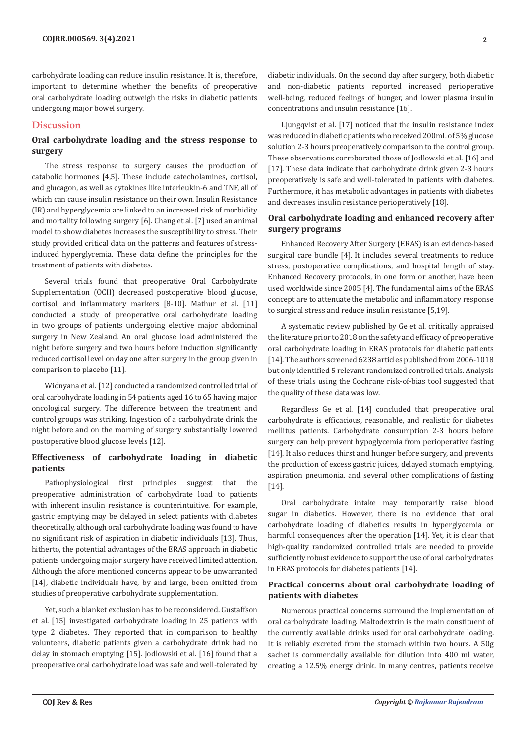carbohydrate loading can reduce insulin resistance. It is, therefore, important to determine whether the benefits of preoperative oral carbohydrate loading outweigh the risks in diabetic patients undergoing major bowel surgery.

#### **Discussion**

## **Oral carbohydrate loading and the stress response to surgery**

The stress response to surgery causes the production of catabolic hormones [4,5]. These include catecholamines, cortisol, and glucagon, as well as cytokines like interleukin-6 and TNF, all of which can cause insulin resistance on their own. Insulin Resistance (IR) and hyperglycemia are linked to an increased risk of morbidity and mortality following surgery [6]. Chang et al. [7] used an animal model to show diabetes increases the susceptibility to stress. Their study provided critical data on the patterns and features of stressinduced hyperglycemia. These data define the principles for the treatment of patients with diabetes.

Several trials found that preoperative Oral Carbohydrate Supplementation (OCH) decreased postoperative blood glucose, cortisol, and inflammatory markers [8-10]. Mathur et al. [11] conducted a study of preoperative oral carbohydrate loading in two groups of patients undergoing elective major abdominal surgery in New Zealand. An oral glucose load administered the night before surgery and two hours before induction significantly reduced cortisol level on day one after surgery in the group given in comparison to placebo [11].

Widnyana et al. [12] conducted a randomized controlled trial of oral carbohydrate loading in 54 patients aged 16 to 65 having major oncological surgery. The difference between the treatment and control groups was striking. Ingestion of a carbohydrate drink the night before and on the morning of surgery substantially lowered postoperative blood glucose levels [12].

## **Effectiveness of carbohydrate loading in diabetic patients**

Pathophysiological first principles suggest that the preoperative administration of carbohydrate load to patients with inherent insulin resistance is counterintuitive. For example, gastric emptying may be delayed in select patients with diabetes theoretically, although oral carbohydrate loading was found to have no significant risk of aspiration in diabetic individuals [13]. Thus, hitherto, the potential advantages of the ERAS approach in diabetic patients undergoing major surgery have received limited attention. Although the afore mentioned concerns appear to be unwarranted [14], diabetic individuals have, by and large, been omitted from studies of preoperative carbohydrate supplementation.

Yet, such a blanket exclusion has to be reconsidered. Gustaffson et al. [15] investigated carbohydrate loading in 25 patients with type 2 diabetes. They reported that in comparison to healthy volunteers, diabetic patients given a carbohydrate drink had no delay in stomach emptying [15]. Jodlowski et al. [16] found that a preoperative oral carbohydrate load was safe and well-tolerated by

diabetic individuals. On the second day after surgery, both diabetic and non-diabetic patients reported increased perioperative well-being, reduced feelings of hunger, and lower plasma insulin concentrations and insulin resistance [16].

Ljungqvist et al. [17] noticed that the insulin resistance index was reduced in diabetic patients who received 200mL of 5% glucose solution 2-3 hours preoperatively comparison to the control group. These observations corroborated those of Jodlowski et al. [16] and [17]. These data indicate that carbohydrate drink given 2-3 hours preoperatively is safe and well-tolerated in patients with diabetes. Furthermore, it has metabolic advantages in patients with diabetes and decreases insulin resistance perioperatively [18].

## **Oral carbohydrate loading and enhanced recovery after surgery programs**

Enhanced Recovery After Surgery (ERAS) is an evidence-based surgical care bundle [4]. It includes several treatments to reduce stress, postoperative complications, and hospital length of stay. Enhanced Recovery protocols, in one form or another, have been used worldwide since 2005 [4]. The fundamental aims of the ERAS concept are to attenuate the metabolic and inflammatory response to surgical stress and reduce insulin resistance [5,19].

A systematic review published by Ge et al. critically appraised the literature prior to 2018 on the safety and efficacy of preoperative oral carbohydrate loading in ERAS protocols for diabetic patients [14]. The authors screened 6238 articles published from 2006-1018 but only identified 5 relevant randomized controlled trials. Analysis of these trials using the Cochrane risk-of-bias tool suggested that the quality of these data was low.

Regardless Ge et al. [14] concluded that preoperative oral carbohydrate is efficacious, reasonable, and realistic for diabetes mellitus patients. Carbohydrate consumption 2-3 hours before surgery can help prevent hypoglycemia from perioperative fasting [14]. It also reduces thirst and hunger before surgery, and prevents the production of excess gastric juices, delayed stomach emptying, aspiration pneumonia, and several other complications of fasting [14].

Oral carbohydrate intake may temporarily raise blood sugar in diabetics. However, there is no evidence that oral carbohydrate loading of diabetics results in hyperglycemia or harmful consequences after the operation [14]. Yet, it is clear that high-quality randomized controlled trials are needed to provide sufficiently robust evidence to support the use of oral carbohydrates in ERAS protocols for diabetes patients [14].

## **Practical concerns about oral carbohydrate loading of patients with diabetes**

Numerous practical concerns surround the implementation of oral carbohydrate loading. Maltodextrin is the main constituent of the currently available drinks used for oral carbohydrate loading. It is reliably excreted from the stomach within two hours. A 50g sachet is commercially available for dilution into 400 ml water, creating a 12.5% energy drink. In many centres, patients receive